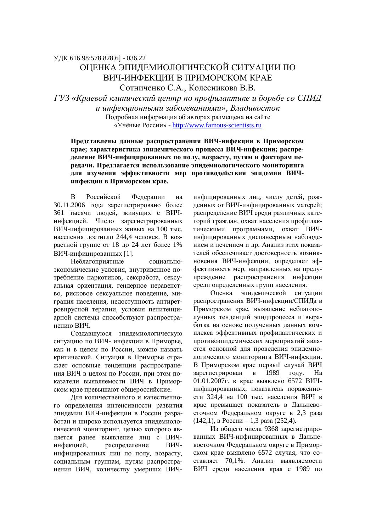УДК 616.98:578.828.6] - 036.22

## ОЦЕНКА ЭПИДЕМИОЛОГИЧЕСКОЙ СИТУАЦИИ ПО ВИЧ-ИНФЕКЦИИ В ПРИМОРСКОМ КРАЕ Сотниченко С.А., Колесникова В.В.

*ГУЗ «Краевой клинический центр по профилактике и борьбе со СПИД ɢɢɧɮɟɤɰɢɨɧɧɵɦɢɡɚɛɨɥɟɜɚɧɢɹɦɢ», ȼɥɚɞɢɜɨɫɬɨɤ* Подробная информация об авторах размещена на сайте «Учёные России» - http://www.famous-scientists.ru

Представлены данные распространения ВИЧ-инфекции в Приморском **крае; характеристика эпидемического процесса ВИЧ-инфекции; распре**деление ВИЧ-инфицированных по полу, возрасту, путям и факторам пе**релачи. Предлагается использование эпилемиологического мониторинга** для изучения эффективности мер противодействия эпидемии ВИЧинфекции в Приморском крае.

В Российской Федерации на 30.11.2006 года зарегистрировано более 361 тысячи людей, живущих с ВИЧинфекцией. Число зарегистрированных ВИЧ-инфицированных живых на 100 тыс. населения достигло 244,4 человек. В возрастной группе от 18 до 24 лет более 1% ВИЧ-инфицированных [1].

Неблагоприятные социальноэкономические условия, внутривенное потребление наркотиков, сексработа, сексуальная ориентация, гендерное неравенство, рисковое сексуальное поведение, миграция населения, недоступность антиретровирусной терапии, условия пенитенциарной системы способствуют распространению ВИЧ.

Создавшуюся эпидемиологическую ситуацию по ВИЧ- инфекции в Приморье, как и в целом по России, можно назвать критической. Ситуация в Приморье отражает основные тенденции распространения ВИЧ в целом по России, при этом показатели выявляемости ВИЧ в Приморском крае превышают общероссийские.

Для количественного и качественного определения интенсивности развития эпидемии ВИЧ-инфекции в России разработан и широко используется эпидемиологический мониторинг, целью которого является ранее выявление лиц с ВИЧинфекцией, распределение ВИЧинфицированных лиц по полу, возрасту, социальным группам, путям распространения ВИЧ, количеству умерших ВИЧ-

инфицированных лиц, числу детей, рожденных от ВИЧ-инфицированных матерей; распределение ВИЧ среди различных категорий граждан, охват населения профилактическими программами, охват ВИЧинфицированных диспансерным наблюдением и лечением и др. Анализ этих показателей обеспечивает достоверность возникновения ВИЧ-инфекции, определяет эффективность мер, направленных на предупреждение распространения инфекции среди определенных групп населения.

Оценка эпидемической ситуации распространения ВИЧ-инфекции/СПИДа в Приморском крае, выявление неблагополучных тенденций эпидпроцесса и выработка на основе полученных данных комплекса эффективных профилактических и противоэпидемических мероприятий является основной для проведения эпидемиологического мониторинга ВИЧ-инфекции. В Приморском крае первый случай ВИЧ зарегистрирован в 1989 году. На 01.01.2007г. в крае выявлено 6572 ВИЧинфицированных, показатель пораженности 324,4 на 100 тыс. населения ВИЧ в крае превышает показатель в Дальневосточном Федеральном округе в 2,3 раза  $(142,1)$ , в России – 1,3 раза (252,4).

Из общего числа 9368 зарегистрированных ВИЧ-инфицированных в Дальневосточном Федеральном округе в Приморском крае выявлено 6572 случая, что составляет 70.1%. Анализ выявляемости ВИЧ среди населения края с 1989 по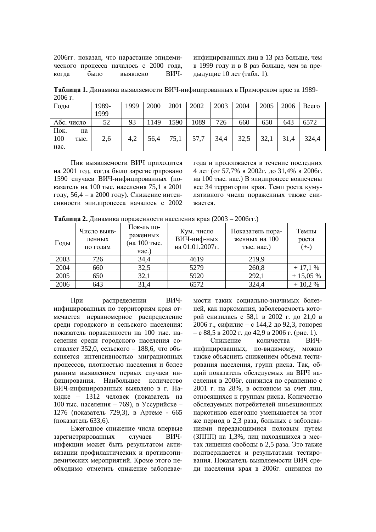2006гг. показал, что нарастание эпидемического процесса началось с 2000 года,  $\overline{\text{KOTJ3}}$   $\overline{\text{6b}}$   $\overline{\text{BIO}}$   $\overline{\text{BH4}}$  инфицированных лиц в 13 раз больше, чем в 1999 году и в 8 раз больше, чем за прелылушие  $10$  лет (табл. 1).

Таблица 1. Динамика выявляемости ВИЧ-инфицированных в Приморском крае за 1989- $2006r$ 

| Годы                              | 1989-<br>1999 | 1999 | 2000 | 2001 | 2002 | 2003 | 2004 | 2005 | 2006 | Всего |
|-----------------------------------|---------------|------|------|------|------|------|------|------|------|-------|
| Абс. число                        | 52            | 93   | 1149 | 590  | 1089 | 726  | 660  | 650  | 643  | 6572  |
| Пок.<br>на<br>100<br>тыс.<br>Hac. | 2,6           | 4,2  | 56,4 | 75,1 | 57,7 | 34,4 | 32,5 | 32,1 | 31,4 | 324,4 |

Пик выявляемости ВИЧ приходится на 2001 год, когда было зарегистрировано 1590 случаев ВИЧ-инфицированных (показатель на 100 тыс. населения 75,1 в 2001 году, 56,4 – в 2000 году). Снижение интенсивности эпидпроцесса началось с 2002 года и продолжается в течение последних 4 лет (от 57,7% в 2002г. до 31,4% в 2006г. на 100 тыс. нас.) В эпидпроцесс вовлечены все 34 территории края. Темп роста кумулятивного числа пораженных также снижается.

**Таблица 2. Динамика пораженности населения края (2003 – 2006гг.)** 

| Годы | Число выяв-<br>ленных<br>по годам | Пок-ль по-<br>раженных<br>(на 100 тыс.<br>$Hac.$ ) | Кум. число<br>ВИЧ-инф-ных<br>на 01.01.2007г. | Показатель пора-<br>женных на 100<br>тыс. нас.) | Темпы<br>роста<br>$(+-)$ |
|------|-----------------------------------|----------------------------------------------------|----------------------------------------------|-------------------------------------------------|--------------------------|
| 2003 | 726                               | 34,4                                               | 4619                                         | 219,9                                           |                          |
| 2004 | 660                               | 32,5                                               | 5279                                         | 260,8                                           | $+17,1%$                 |
| 2005 | 650                               | 32,1                                               | 5920                                         | 292,1                                           | $+15,05%$                |
| 2006 | 643                               | 31,4                                               | 6572                                         | 324,4                                           | $+10,2%$                 |

При распределении ВИЧинфицированных по территориям края отмечается неравномерное распределение среди городского и сельского населения: показатель пораженности на 100 тыс. населения среди городского населения составляет 352,0, сельского - 188,6, что объясняется интенсивностью миграционных процессов, плотностью населения и более ранним выявлением первых случаев инфицирования. Наибольшее количество ВИЧ-инфицированных выявлено в г. Находке – 1312 человек (показатель на 100 тыс. населения – 769), в Уссурийске – 1276 (показатель 729,3), в Артеме - 665 (показатель 633,6).

Ежеголное снижение числа впервые зарегистрированных случаев ВИЧинфекции может быть результатом активизации профилактических и противоэпидемических мероприятий. Кроме этого необходимо отметить снижение заболеваемости таких социально-значимых болезней, как наркомания, заболеваемость которой снизилась с 58,1 в 2002 г. до 21,0 в 2006 г., сифилис – с 144,2 до 92,3, гонорея  $- c 88.5$  в 2002 г. до 42,9 в 2006 г. (рис. 1).

Снижение количества ВИЧинфицированных, по-видимому, можно также объяснить снижением объема тестирования населения, групп риска. Так, обший показатель обследуемых на ВИЧ населения в 2006г. снизился по сравнению с 2001 г. на 28%, в основном за счет лиц, относящихся к группам риска. Количество обследуемых потребителей инъекционных наркотиков ежегодно уменьшается за этот же период в 2,3 раза, больных с заболеваниями передающимися половым путем (ЗППП) на 1,3%, лиц находящихся в местах лишения свободы в 2,5 раза. Это также подтверждается и результатами тестирования. Показатель выявляемости ВИЧ среди населения края в 2006г. снизился по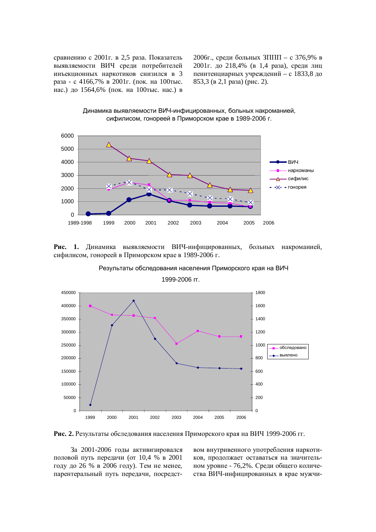сравнению с 2001г. в 2,5 раза. Показатель выявляемости ВИЧ среди потребителей инъекционных наркотиков снизился в 3 раза - с 4166,7% в 2001г. (пок. на 100тыс. нас.) до 1564,6% (пок. на 100тыс. нас.) в 2006г., среди больных  $3\Pi\Pi\Pi - c$  376,9% в 2001г. до 218,4% (в 1,4 раза), среди лиц пенитенциарных учреждений – с 1833,8 до  $853,3$  ( $B$  2,1 pasa) (рис. 2).

Динамика выявляемости ВИЧ-инфицированных, больных накроманией, сифилисом, гонореей в Приморском крае в 1989-2006 г.



Рис. 1. Динамика выявляемости ВИЧ-инфицированных, больных накроманией, сифилисом, гонореей в Приморском крае в 1989-2006 г.

Результаты обследования населения Приморского края на ВИЧ



1999-2006 гг.

Рис. 2. Результаты обследования населения Приморского края на ВИЧ 1999-2006 гг.

За 2001-2006 годы активизировался половой путь передачи (от 10,4 % в 2001 году до 26 % в 2006 году). Тем не менее, парентеральный путь передачи, посредством внутривенного употребления наркотиков, продолжает оставаться на значительном уровне - 76,2%. Среди общего количества ВИЧ-инфицированных в крае мужчи-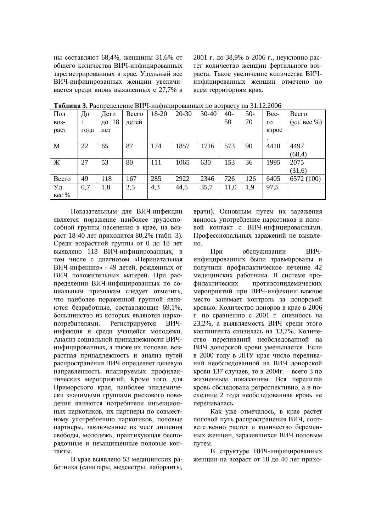ны составляют 68,4%, женщины 31,6% от общего количества ВИЧ-инфицированных зарегистрированных в крае. Удельный вес ВИЧ-инфицированных женщин увеличивается среди вновь выявленных с 27,7% в 2001 г. до 38,9% в 2006 г., неуклонно растет количество женщин фертильного возраста. Такое увеличение количества ВИЧинфицированных женщин отмечено по всем территориям края.

| Пол   | До   | . .<br>Дети | Bcero | 18-20 | $20 - 30$ | $30 - 40$ | $40-$ | $50-$ | Bce-                  | Всего       |
|-------|------|-------------|-------|-------|-----------|-----------|-------|-------|-----------------------|-------------|
| B03-  |      | 18<br>ДΟ    | детей |       |           |           | 50    | 70    | $\Gamma$ <sup>O</sup> | (уд. вес %) |
| раст  | года | лет         |       |       |           |           |       |       | взрос                 |             |
|       |      |             |       |       |           |           |       |       |                       |             |
| M     | 22   | 65          | 87    | 174   | 1857      | 1716      | 573   | 90    | 4410                  | 4497        |
|       |      |             |       |       |           |           |       |       |                       | (68, 4)     |
| Ж     | 27   | 53          | 80    | 111   | 1065      | 630       | 153   | 36    | 1995                  | 2075        |
|       |      |             |       |       |           |           |       |       |                       | (31,6)      |
| Всего | 49   | 118         | 167   | 285   | 2922      | 2346      | 726   | 126   | 6405                  | 6572 (100)  |
| Уд.   | 0,7  | 1,8         | 2,5   | 4,3   | 44,5      | 35,7      | 11,0  | 1,9   | 97,5                  |             |
| Bec % |      |             |       |       |           |           |       |       |                       |             |

**Таблица 3. Распрелеление ВИЧ-инфицированных по возрасту на 31.12.2006** 

Показательным для ВИЧ-инфекции является поражение наиболее трудоспособной группы населения в крае, на возраст 18-40 лет приходится 80,2% (табл. 3). Среди возрастной группы от 0 до 18 лет выявлено 118 ВИЧ-инфицированных, в том числе с диагнозом «Перинатальная ВИЧ-инфекция» - 49 детей, рожденных от ВИЧ положительных матерей. При распределении ВИЧ-инфицированных по социальным признакам следует отметить, что наиболее пораженной группой являются безработные, составляющие 69,1%, большинство из которых являются наркопотребителями. Регистрируется ВИЧинфекция и среди учащейся молодежи. Анализ социальной принадлежности ВИЧинфицированных, а также их половая, возрастная принадлежность и анализ путей распространения ВИЧ определяет целевую направленность планируемых профилактических мероприятий. Кроме того, для Приморского края, наиболее эпидемически значимыми группами рискового поведения являются потребители инъекционных наркотиков, их партнеры по совместному употреблению наркотиков, половые партнеры, заключенные из мест лишения свободы, молодежь, практикующая беспорялочные и незашишенные половые контакты.

В крае выявлено 53 медицинских работника (санитары, медсестры, лаборанты,

врачи). Основным путем их заражения явилось употребление наркотиков и половой контакт с ВИЧ-инфицированными. Профессиональных заражений не выявле-HO.

При обслуживании ВИЧинфицированных были травмированы и получили профилактическое лечение 42 медицинских работника. В системе профилактических противоэпидемических мероприятий при ВИЧ-инфекции важное место занимает контроль за донорской кровью. Количество доноров в крае в 2006 г. по сравнению с 2001 г. снизилось на 23,2%, а выявляемость ВИЧ среди этого контингента снизилась на 13,7%. Количество переливаний необследованной на ВИЧ донорской крови уменьшается. Если в 2000 году в ЛПУ края число переливаний необслелованной на ВИЧ лонорской крови 137 случаев, то в 2004 г. – всего 3 по  $\overline{X}$ изненным показаниям. Вся перелитая кровь обследована ретроспективно, а в последние 2 года необследованная кровь не переливалась.

Как уже отмечалось, в крае растет половой путь распространения ВИЧ, соответственно растет и количество беременных женщин, заразившихся ВИЧ половым путем.

В структуре ВИЧ-инфицированных женщин на возраст от 18 до 40 лет прихо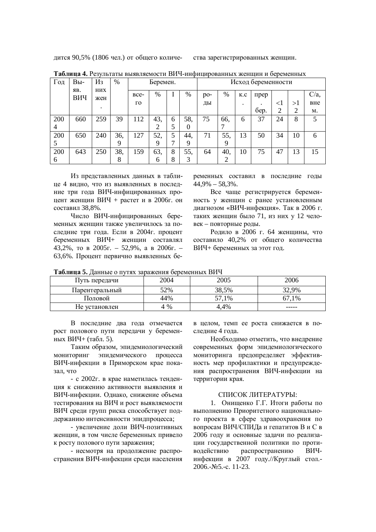дится 90,5% (1806 чел.) от общего количе- ства зарегистрированных женщин.

| Год | $Bbl$ -    | Из         | %   |                       | Беремен.<br>Исход беременности |   |      |       |      |           |      |                |    |         |
|-----|------------|------------|-----|-----------------------|--------------------------------|---|------|-------|------|-----------|------|----------------|----|---------|
|     | ЯB.<br>ВИЧ | них<br>жен |     | BCe-                  | %                              |   | $\%$ | $po-$ | $\%$ | K.C       | прер |                |    | $C/a$ . |
|     |            |            |     | $\Gamma$ <sup>O</sup> |                                |   |      | ДЫ    |      | $\bullet$ |      | $\leq$ 1       | >1 | вне     |
|     |            |            |     |                       |                                |   |      |       |      |           | бер. | $\overline{2}$ | C  | м.      |
| 200 | 660        | 259        | 39  | 112                   | 43,                            | 6 | 58,  | 75    | 66.  | 6         | 37   | 24             | 8  | 5       |
| 4   |            |            |     |                       | 2                              |   | 0    |       |      |           |      |                |    |         |
| 200 | 650        | 240        | 36, | 127                   | 52,                            | 5 | 44.  | 71    | 55,  | 13        | 50   | 34             | 10 | 6       |
| 5   |            |            | 9   |                       | 9                              | ⇁ | 9    |       | 9    |           |      |                |    |         |
| 200 | 643        | 250        | 38, | 159                   | 63,                            | 8 | 55,  | 64    | 40,  | 10        | 75   | 47             | 13 | 15      |
| 6   |            |            | 8   |                       | 6                              | 8 | 3    |       | ∍    |           |      |                |    |         |

**Таблица 4. Результаты выявляемости ВИЧ-инфицированных женщин и беременных** 

Из представленных данных в таблице 4 видно, что из выявленных в последние три года ВИЧ-инфицированных процент женщин ВИЧ + растет и в 2006г. он составил 38,8%.

Число ВИЧ-инфицированных беременных женщин также увеличилось за послелние три года. Если в 2004 г. процент беременных ВИЧ+ женщин составлял 43,2%, то в 2005г. – 52,9%, а в 2006г. – 63,6%. Процент первично выявленных беременных составил в последние годы  $44.9\% - 58.3\%$ .

Все чаще регистрируется беременность у женщин с ранее установленным диагнозом «ВИЧ-инфекция». Так в 2006 г. таких женщин было 71, из них у 12 человек – повторные роды.

Родило в 2006 г. 64 женщины, что составило 40,2% от общего количества ВИЧ+ беременных за этот год.

| Tuovimmu Of Authory of hydra Supuricinin ocpositomicining |      |        |       |  |  |  |  |  |  |  |
|-----------------------------------------------------------|------|--------|-------|--|--|--|--|--|--|--|
| Путь передачи                                             | 2004 | 2005   | 2006  |  |  |  |  |  |  |  |
| l Iapeнтеральный                                          | 52%  | 38,5%  | 9%    |  |  |  |  |  |  |  |
| Половой                                                   | 44%  | $.1\%$ | $1\%$ |  |  |  |  |  |  |  |
| Не установлен                                             | %    | .4%    | ----- |  |  |  |  |  |  |  |

**Таблина 5. Ланные о путях заражения беременных ВИЧ** 

В последние два года отмечается рост полового пути передачи у беременных ВИЧ+ (табл. 5).

Таким образом, эпидемиологический мониторинг эпидемического процесса ВИЧ-инфекции в Приморском крае показап что

- с 2002г. в крае наметилась тенденния к снижению активности выявления и ВИЧ-инфекции. Однако, снижение объема тестирования на ВИЧ и рост выявляемости ВИЧ среди групп риска способствует поддержанию интенсивности эпидпроцесса;

- увеличение доли ВИЧ-позитивных женщин, в том числе беременных привело к росту полового пути заражения;

- несмотря на продолжение распространения ВИЧ-инфекции среди населения в целом, темп ее роста снижается в последние 4 года.

Необходимо отметить, что внедрение современных форм эпидемиологического мониторинга предопределяет эффективность мер профилактики и предупреждения распространения ВИЧ-инфекции на территории края.

## СПИСОК ЛИТЕРАТУРЫ:

1. Онишенко Г.Г. Итоги работы по выполнению Приоритетного национального проекта в сфере здравоохранения по вопросам ВИЧ/СПИДа и гепатитов В и С в 2006 году и основные задачи по реализации государственной политики по противодействию распространению ВИЧинфекции в 2007 году.//Круглый стол.- $2006.-N<sub>9</sub>5.-c.$  11-23.